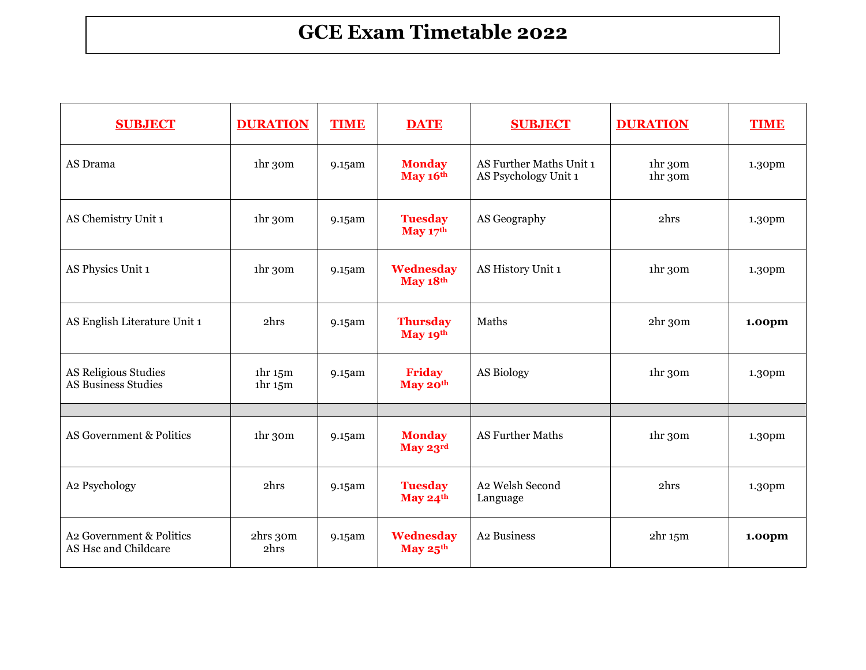## **GCE Exam Timetable 2022**

| <b>SUBJECT</b>                                     | <b>DURATION</b>                                                    | <b>TIME</b> | <b>DATE</b>                       | <b>SUBJECT</b>                                  | <b>DURATION</b>                            | <b>TIME</b>        |
|----------------------------------------------------|--------------------------------------------------------------------|-------------|-----------------------------------|-------------------------------------------------|--------------------------------------------|--------------------|
| AS Drama                                           | 1 <sup>hr</sup> 3 <sup>om</sup>                                    | 9.15am      | <b>Monday</b><br>May 16th         | AS Further Maths Unit 1<br>AS Psychology Unit 1 | 1 <sup>hr</sup> 3 <sup>om</sup><br>1hr 30m | 1.30pm             |
| AS Chemistry Unit 1                                | 1 <sup>hr</sup> 3 <sup>om</sup>                                    | 9.15am      | <b>Tuesday</b><br>May $17th$      | AS Geography                                    | 2hrs                                       | 1.30pm             |
| AS Physics Unit 1                                  | 1 <sup>hr</sup> 3 <sup>om</sup>                                    | 9.15am      | Wednesday<br>May 18th             | AS History Unit 1                               | 1hr 30m                                    | 1.30pm             |
| AS English Literature Unit 1                       | 2hrs                                                               | 9.15am      | <b>Thursday</b><br>May 19th       | Maths                                           | $2hr$ 30 $m$                               | 1.00pm             |
| <b>AS Religious Studies</b><br>AS Business Studies | 1 <sup>hr</sup> 15 <sup>m</sup><br>1 <sup>hr</sup> 15 <sup>m</sup> | 9.15am      | <b>Friday</b><br>May 20th         | AS Biology                                      | 1 <sup>hr</sup> 3 <sup>om</sup>            | 1.30 <sub>pm</sub> |
|                                                    |                                                                    |             |                                   |                                                 |                                            |                    |
| AS Government & Politics                           | 1 <sup>hr</sup> 3 <sup>om</sup>                                    | 9.15am      | <b>Monday</b><br>May 23rd         | <b>AS Further Maths</b>                         | 1hr 30m                                    | 1.30 <sub>pm</sub> |
| A2 Psychology                                      | 2hrs                                                               | 9.15am      | <b>Tuesday</b><br>May $24th$      | A2 Welsh Second<br>Language                     | 2hrs                                       | 1.30pm             |
| A2 Government & Politics<br>AS Hsc and Childcare   | 2hrs 30m<br>2hrs                                                   | 9.15am      | Wednesday<br>May $25^{\text{th}}$ | A2 Business                                     | 2 <sup>hr</sup> 15 <sup>m</sup>            | 1.00pm             |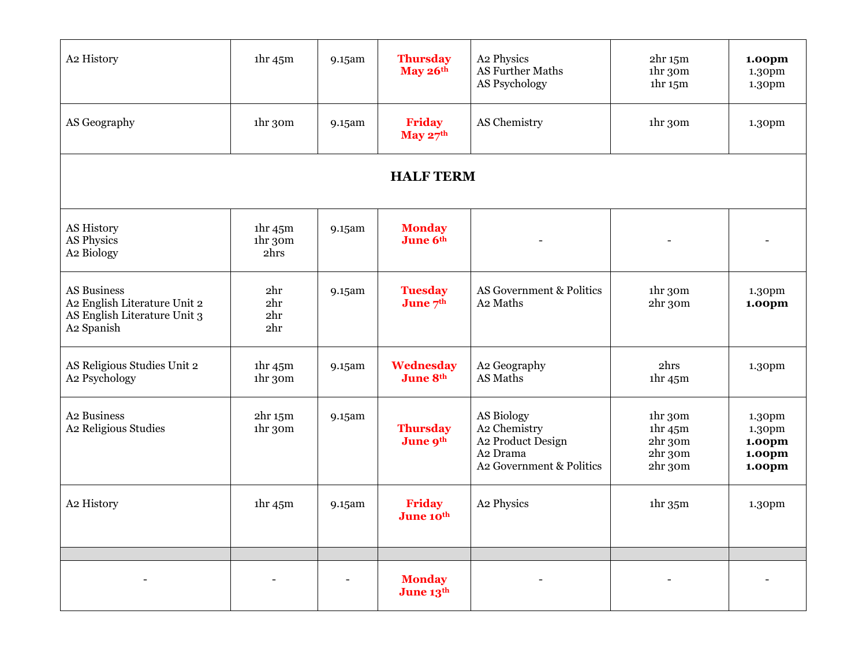| A2 History                                                                                       | 1 <sup>hr</sup> 45 <sup>m</sup>                    | 9.15am | <b>Thursday</b><br>May 26th  | A2 Physics<br>AS Further Maths<br>AS Psychology                                                     | 2 <sup>hr</sup> 15 <sup>m</sup><br>1hr 30m<br>1 <sup>hr</sup> 15 <sup>m</sup> | 1.00pm<br>1.30pm<br>1.30pm                                 |  |  |
|--------------------------------------------------------------------------------------------------|----------------------------------------------------|--------|------------------------------|-----------------------------------------------------------------------------------------------------|-------------------------------------------------------------------------------|------------------------------------------------------------|--|--|
| AS Geography                                                                                     | ihr 30m                                            | 9.15am | <b>Friday</b><br>May $27th$  | AS Chemistry                                                                                        | 1hr 30m                                                                       | 1.30pm                                                     |  |  |
| <b>HALF TERM</b>                                                                                 |                                                    |        |                              |                                                                                                     |                                                                               |                                                            |  |  |
| <b>AS History</b><br>AS Physics<br>A2 Biology                                                    | 1 <sup>hr</sup> 45 <sup>m</sup><br>ihr 30m<br>2hrs | 9.15am | <b>Monday</b><br>June 6th    |                                                                                                     |                                                                               |                                                            |  |  |
| <b>AS Business</b><br>A2 English Literature Unit 2<br>AS English Literature Unit 3<br>A2 Spanish | 2hr<br>2hr<br>2hr<br>2hr                           | 9.15am | <b>Tuesday</b><br>June 7th   | AS Government & Politics<br>A <sub>2</sub> Maths                                                    | 1hr 30m<br>2hr 30m                                                            | 1.30pm<br>1.00pm                                           |  |  |
| AS Religious Studies Unit 2<br>A2 Psychology                                                     | 1 <sup>hr</sup> 45 <sup>m</sup><br>ihr 30m         | 9.15am | Wednesday<br><b>June 8th</b> | A2 Geography<br>AS Maths                                                                            | 2hrs<br>1 <sup>hr</sup> 45 <sup>m</sup>                                       | 1.30pm                                                     |  |  |
| A2 Business<br>A2 Religious Studies                                                              | 2 <sup>hr</sup> 15 <sup>m</sup><br>1hr 30m         | 9.15am | <b>Thursday</b><br>June 9th  | AS Biology<br>A2 Chemistry<br>A2 Product Design<br>A <sub>2</sub> Drama<br>A2 Government & Politics | 1hr 30m<br>1 <sup>hr</sup> 45 <sup>m</sup><br>2hr 30m<br>2hr 30m<br>2hr 30m   | 1.30pm<br>1.30pm<br>1.00pm<br>1.00 <sub>pm</sub><br>1.00pm |  |  |
| A2 History                                                                                       | 1 <sup>hr</sup> 45 <sup>m</sup>                    | 9.15am | <b>Friday</b><br>June 10th   | A2 Physics                                                                                          | 1 <sup>hr</sup> 35 <sup>m</sup>                                               | 1.30pm                                                     |  |  |
|                                                                                                  |                                                    |        | <b>Monday</b><br>June 13th   |                                                                                                     |                                                                               |                                                            |  |  |